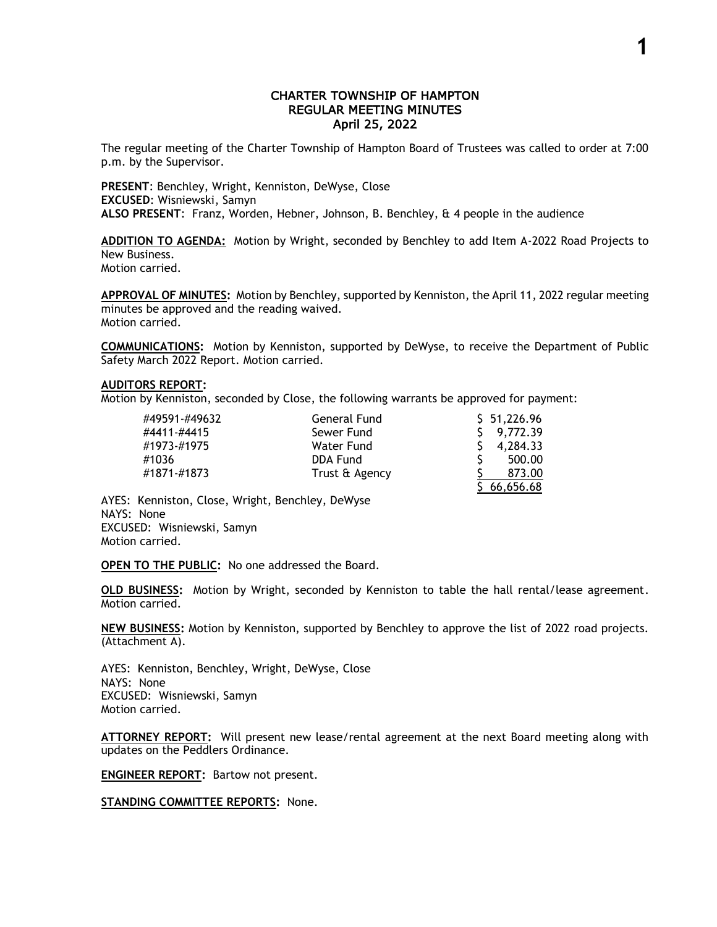## CHARTER TOWNSHIP OF HAMPTON REGULAR MEETING MINUTES April 25, 2022

The regular meeting of the Charter Township of Hampton Board of Trustees was called to order at 7:00 p.m. by the Supervisor.

**PRESENT**: Benchley, Wright, Kenniston, DeWyse, Close **EXCUSED**: Wisniewski, Samyn **ALSO PRESENT**: Franz, Worden, Hebner, Johnson, B. Benchley, & 4 people in the audience

**ADDITION TO AGENDA:** Motion by Wright, seconded by Benchley to add Item A-2022 Road Projects to New Business. Motion carried.

**APPROVAL OF MINUTES:** Motion by Benchley, supported by Kenniston, the April 11, 2022 regular meeting minutes be approved and the reading waived. Motion carried.

**COMMUNICATIONS:** Motion by Kenniston, supported by DeWyse, to receive the Department of Public Safety March 2022 Report. Motion carried.

## **AUDITORS REPORT:**

Motion by Kenniston, seconded by Close, the following warrants be approved for payment:

| #49591-#49632 | General Fund   | \$51,226.96 |
|---------------|----------------|-------------|
| #4411-#4415   | Sewer Fund     | 9,772.39    |
| #1973-#1975   | Water Fund     | 4,284.33    |
| #1036         | DDA Fund       | 500.00      |
| #1871-#1873   | Trust & Agency | 873.00      |
|               |                | 66,656.68   |

AYES: Kenniston, Close, Wright, Benchley, DeWyse NAYS: None EXCUSED: Wisniewski, Samyn Motion carried.

**OPEN TO THE PUBLIC:** No one addressed the Board.

**OLD BUSINESS:** Motion by Wright, seconded by Kenniston to table the hall rental/lease agreement. Motion carried.

**NEW BUSINESS:** Motion by Kenniston, supported by Benchley to approve the list of 2022 road projects. (Attachment A).

AYES: Kenniston, Benchley, Wright, DeWyse, Close NAYS: None EXCUSED: Wisniewski, Samyn Motion carried.

**ATTORNEY REPORT:** Will present new lease/rental agreement at the next Board meeting along with updates on the Peddlers Ordinance.

**ENGINEER REPORT:** Bartow not present.

**STANDING COMMITTEE REPORTS:** None.